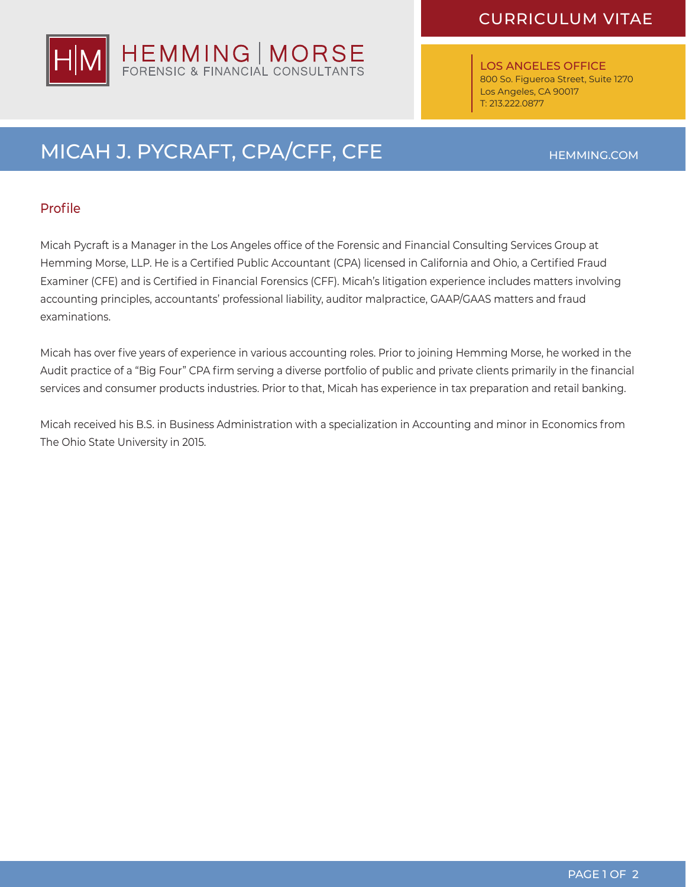

LOS ANGELES OFFICE 800 So. Figueroa Street, Suite 1270 Los Angeles, CA 90017 T: 213.222.0877

# MICAH J. PYCRAFT, CPA/CFF, CFE

#### Profile

Micah Pycraft is a Manager in the Los Angeles office of the Forensic and Financial Consulting Services Group at Hemming Morse, LLP. He is a Certified Public Accountant (CPA) licensed in California and Ohio, a Certified Fraud Examiner (CFE) and is Certified in Financial Forensics (CFF). Micah's litigation experience includes matters involving accounting principles, accountants' professional liability, auditor malpractice, GAAP/GAAS matters and fraud examinations.

Micah has over five years of experience in various accounting roles. Prior to joining Hemming Morse, he worked in the Audit practice of a "Big Four" CPA firm serving a diverse portfolio of public and private clients primarily in the financial services and consumer products industries. Prior to that, Micah has experience in tax preparation and retail banking.

Micah received his B.S. in Business Administration with a specialization in Accounting and minor in Economics from The Ohio State University in 2015.

HEMMING.COM